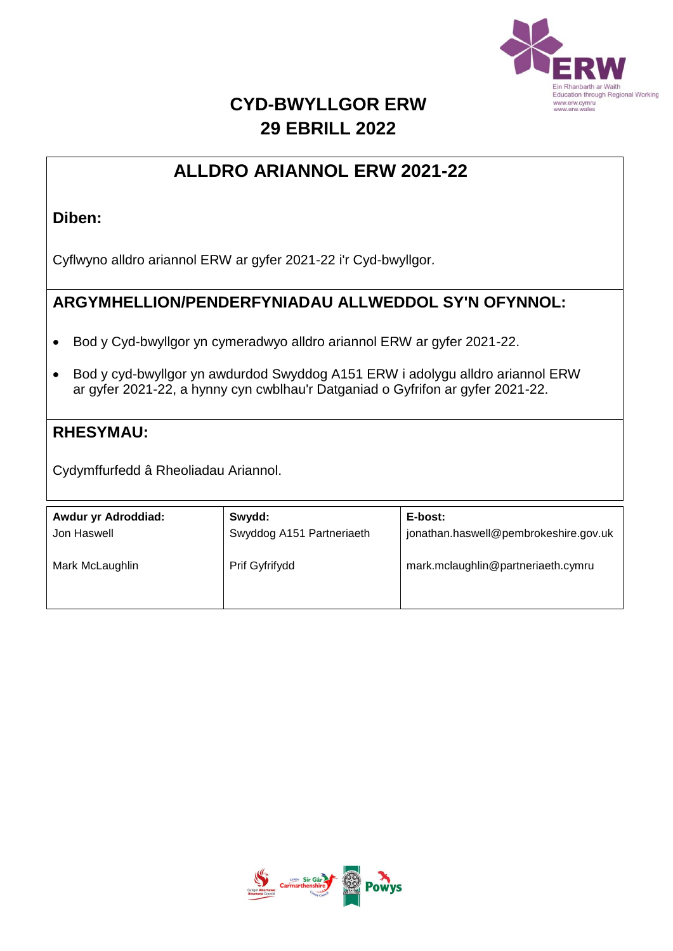

## **CYD-BWYLLGOR ERW 29 EBRILL 2022**

### **ALLDRO ARIANNOL ERW 2021-22**

#### **Diben:**

Cyflwyno alldro ariannol ERW ar gyfer 2021-22 i'r Cyd-bwyllgor.

#### **ARGYMHELLION/PENDERFYNIADAU ALLWEDDOL SY'N OFYNNOL:**

- Bod y Cyd-bwyllgor yn cymeradwyo alldro ariannol ERW ar gyfer 2021-22.
- Bod y cyd-bwyllgor yn awdurdod Swyddog A151 ERW i adolygu alldro ariannol ERW ar gyfer 2021-22, a hynny cyn cwblhau'r Datganiad o Gyfrifon ar gyfer 2021-22.

#### **RHESYMAU:**

Cydymffurfedd â Rheoliadau Ariannol.

| Awdur yr Adroddiad:<br>Jon Haswell | Swydd:<br>Swyddog A151 Partneriaeth | E-bost:<br>jonathan.haswell@pembrokeshire.gov.uk |
|------------------------------------|-------------------------------------|--------------------------------------------------|
| Mark McLaughlin                    | Prif Gyfrifydd                      | mark.mclaughlin@partneriaeth.cymru               |
|                                    |                                     |                                                  |

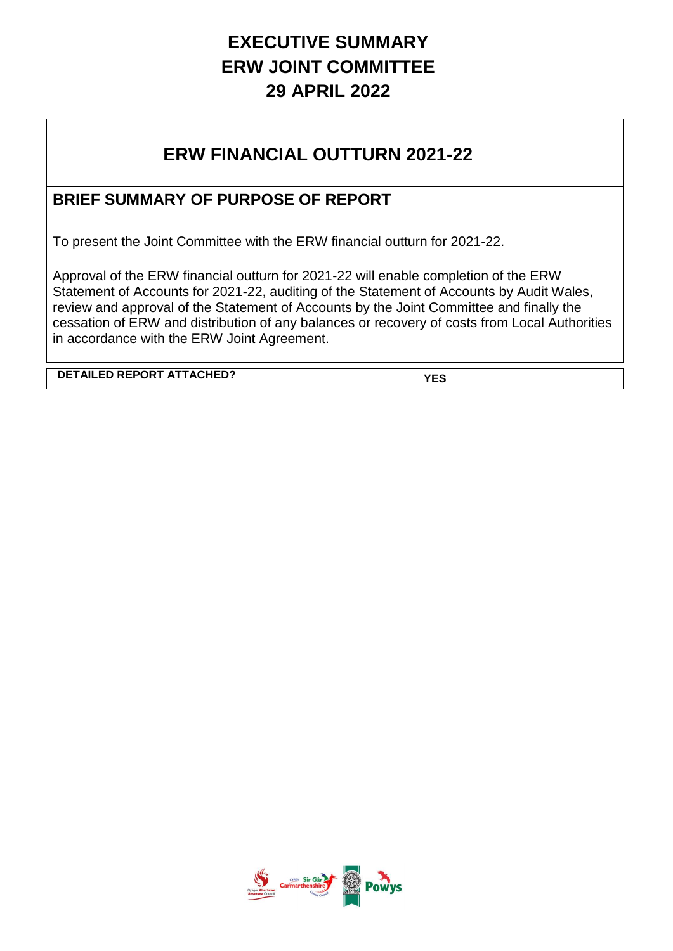# **EXECUTIVE SUMMARY ERW JOINT COMMITTEE 29 APRIL 2022**

## **ERW FINANCIAL OUTTURN 2021-22**

### **BRIEF SUMMARY OF PURPOSE OF REPORT**

To present the Joint Committee with the ERW financial outturn for 2021-22.

Approval of the ERW financial outturn for 2021-22 will enable completion of the ERW Statement of Accounts for 2021-22, auditing of the Statement of Accounts by Audit Wales, review and approval of the Statement of Accounts by the Joint Committee and finally the cessation of ERW and distribution of any balances or recovery of costs from Local Authorities in accordance with the ERW Joint Agreement.

**DETAILED REPORT ATTACHED? YES**

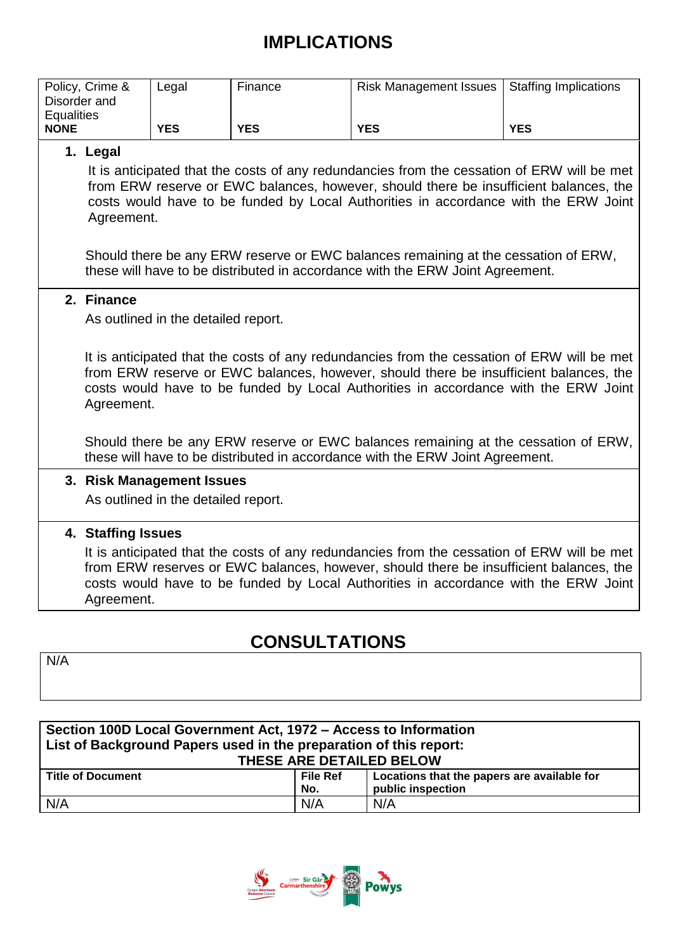# **IMPLICATIONS**

|                   | Policy, Crime &                                                                                                                                                                                                                                                                           | Legal                               | Finance    | <b>Risk Management Issues</b> | <b>Staffing Implications</b> |  |  |  |  |
|-------------------|-------------------------------------------------------------------------------------------------------------------------------------------------------------------------------------------------------------------------------------------------------------------------------------------|-------------------------------------|------------|-------------------------------|------------------------------|--|--|--|--|
| Disorder and      |                                                                                                                                                                                                                                                                                           |                                     |            |                               |                              |  |  |  |  |
| <b>Equalities</b> |                                                                                                                                                                                                                                                                                           |                                     |            |                               |                              |  |  |  |  |
| <b>NONE</b>       |                                                                                                                                                                                                                                                                                           | <b>YES</b>                          | <b>YES</b> | <b>YES</b>                    | <b>YES</b>                   |  |  |  |  |
|                   | 1. Legal                                                                                                                                                                                                                                                                                  |                                     |            |                               |                              |  |  |  |  |
|                   | It is anticipated that the costs of any redundancies from the cessation of ERW will be met<br>from ERW reserve or EWC balances, however, should there be insufficient balances, the<br>costs would have to be funded by Local Authorities in accordance with the ERW Joint<br>Agreement.  |                                     |            |                               |                              |  |  |  |  |
|                   | Should there be any ERW reserve or EWC balances remaining at the cessation of ERW,<br>these will have to be distributed in accordance with the ERW Joint Agreement.                                                                                                                       |                                     |            |                               |                              |  |  |  |  |
|                   | 2. Finance                                                                                                                                                                                                                                                                                |                                     |            |                               |                              |  |  |  |  |
|                   |                                                                                                                                                                                                                                                                                           | As outlined in the detailed report. |            |                               |                              |  |  |  |  |
|                   |                                                                                                                                                                                                                                                                                           |                                     |            |                               |                              |  |  |  |  |
|                   | It is anticipated that the costs of any redundancies from the cessation of ERW will be met<br>from ERW reserve or EWC balances, however, should there be insufficient balances, the<br>costs would have to be funded by Local Authorities in accordance with the ERW Joint<br>Agreement.  |                                     |            |                               |                              |  |  |  |  |
|                   | Should there be any ERW reserve or EWC balances remaining at the cessation of ERW,<br>these will have to be distributed in accordance with the ERW Joint Agreement.                                                                                                                       |                                     |            |                               |                              |  |  |  |  |
|                   |                                                                                                                                                                                                                                                                                           | 3. Risk Management Issues           |            |                               |                              |  |  |  |  |
|                   |                                                                                                                                                                                                                                                                                           | As outlined in the detailed report. |            |                               |                              |  |  |  |  |
|                   |                                                                                                                                                                                                                                                                                           |                                     |            |                               |                              |  |  |  |  |
|                   | 4. Staffing Issues                                                                                                                                                                                                                                                                        |                                     |            |                               |                              |  |  |  |  |
|                   |                                                                                                                                                                                                                                                                                           |                                     |            |                               |                              |  |  |  |  |
|                   | It is anticipated that the costs of any redundancies from the cessation of ERW will be met<br>from ERW reserves or EWC balances, however, should there be insufficient balances, the<br>costs would have to be funded by Local Authorities in accordance with the ERW Joint<br>Agreement. |                                     |            |                               |                              |  |  |  |  |

# **CONSULTATIONS**

N/A

| Section 100D Local Government Act, 1972 - Access to Information<br>List of Background Papers used in the preparation of this report: |                 |                                             |  |  |  |  |
|--------------------------------------------------------------------------------------------------------------------------------------|-----------------|---------------------------------------------|--|--|--|--|
| THESE ARE DETAILED BELOW                                                                                                             |                 |                                             |  |  |  |  |
| <b>Title of Document</b>                                                                                                             | <b>File Ref</b> | Locations that the papers are available for |  |  |  |  |
|                                                                                                                                      | No.             | public inspection                           |  |  |  |  |
| N/A                                                                                                                                  | N/A             | N/A                                         |  |  |  |  |